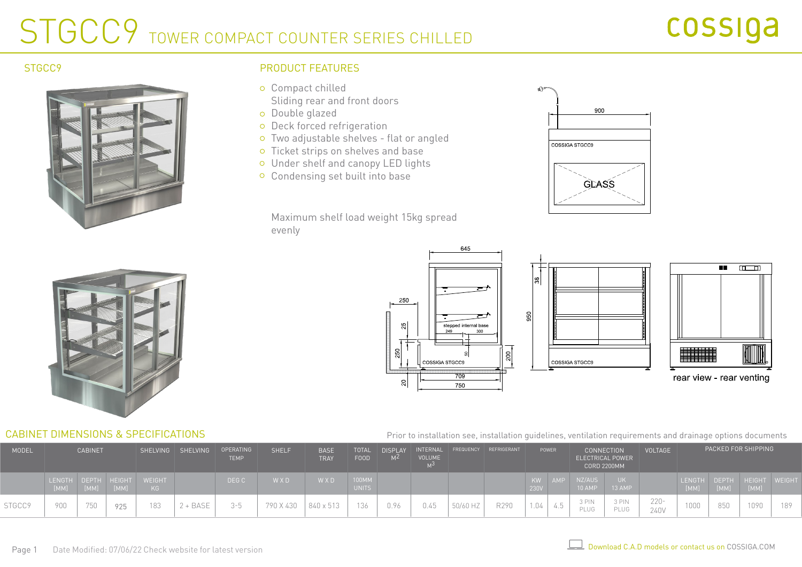# STGCC9 TOWER COMPACT COUNTER SERIES CHILLED



# STGCC9 PRODUCT FEATURES

- Compact chilled Sliding rear and front doors
- Double glazed
- o Deck forced refrigeration
- Two adjustable shelves flat or angled
- o Ticket strips on shelves and base
- Under shelf and canopy LED lights
- o Condensing set built into base

Maximum shelf load weight 15kg spread evenly







### CABINET DIMENSIONS & SPECIFICATIONS

### Prior to installation see, installation guidelines, ventilation requirements and drainage options documents

| <b>MODEL</b>  | <b>CABINET</b>      |      | SHELVING | SHELVING     | OPERATING<br><b>TEMP</b> | <b>SHELF</b> | <b>BASE</b><br><b>TRAY</b> | <b>TOTAL</b><br>FOOD | <b>DISPLAY</b><br>M <sup>Z</sup> | INTERNAL<br><b>VOLUME</b> |      | FREQUENCY REFRIGERANT | POWER |            | <b>CONNECTION</b><br><b>ELECTRICAL POWER</b><br><b>CORD 2200MM</b> |                  | <b>VOLTAGE</b> | PACKED FOR SHIPPING |      |      |                                   |     |
|---------------|---------------------|------|----------|--------------|--------------------------|--------------|----------------------------|----------------------|----------------------------------|---------------------------|------|-----------------------|-------|------------|--------------------------------------------------------------------|------------------|----------------|---------------------|------|------|-----------------------------------|-----|
|               | LENGTH DEPTH HEIGHT | [MM] | [MM]     | WEIGHT<br>KG |                          | DEG C        | W X D                      | WXD                  | 100MM<br><b>UNITS</b>            |                           |      |                       |       | KW<br>230V | <b>AMF</b>                                                         | NZ/AUS<br>10 AMP | 13 AMP         |                     |      | [MM] | LENGTH DEPTH HEIGHT WEIGH<br>[MM] |     |
| <b>STGCCS</b> | 900                 | 750  | 925      | 183          | + BASE                   | $2 - 5$      | 790 X 430                  | 840 x 513            | 136                              |                           | 0.45 | 50/60 HZ              | R290  | 1.04       | 4.5                                                                | 3 PIN<br>PLUG    | 3 PIN<br>PLUG  | $220 -$<br>240V     | 1000 | 850  | 1090                              | 189 |